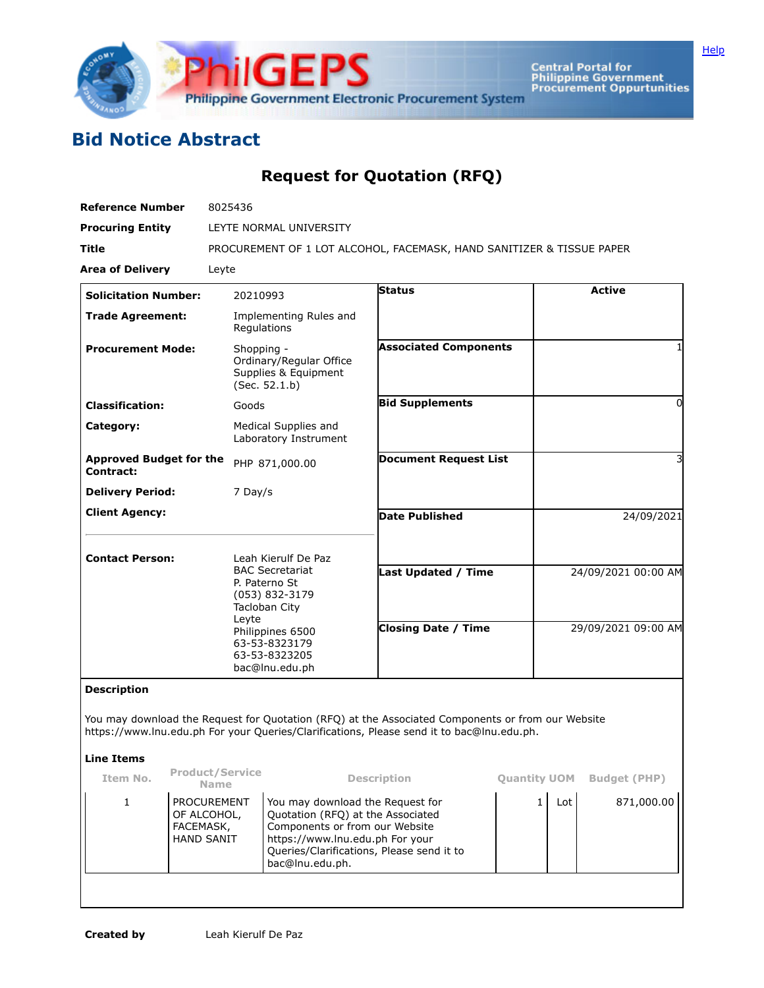

Central Portal for<br>Philippine Government<br>Procurement Oppurtunities

## **Bid Notice Abstract**

## **Request for Quotation (RFQ)**

| <b>Reference Number</b>                     | 8025436                                                                             |                              |                     |  |  |  |
|---------------------------------------------|-------------------------------------------------------------------------------------|------------------------------|---------------------|--|--|--|
| <b>Procuring Entity</b>                     | LEYTE NORMAL UNIVERSITY                                                             |                              |                     |  |  |  |
| <b>Title</b>                                |                                                                                     |                              |                     |  |  |  |
|                                             | PROCUREMENT OF 1 LOT ALCOHOL, FACEMASK, HAND SANITIZER & TISSUE PAPER               |                              |                     |  |  |  |
| <b>Area of Delivery</b>                     | Leyte                                                                               |                              |                     |  |  |  |
| <b>Solicitation Number:</b>                 | 20210993                                                                            | <b>Status</b>                | <b>Active</b>       |  |  |  |
| <b>Trade Agreement:</b>                     | Implementing Rules and<br>Regulations                                               |                              |                     |  |  |  |
| <b>Procurement Mode:</b>                    | Shopping -<br>Ordinary/Regular Office<br>Supplies & Equipment<br>(Sec. 52.1.b)      | <b>Associated Components</b> | 1                   |  |  |  |
| <b>Classification:</b>                      | Goods                                                                               | <b>Bid Supplements</b>       | 0                   |  |  |  |
| Category:                                   | Medical Supplies and<br>Laboratory Instrument                                       |                              |                     |  |  |  |
| <b>Approved Budget for the</b><br>Contract: | PHP 871,000.00                                                                      | <b>Document Request List</b> | 3                   |  |  |  |
| <b>Delivery Period:</b>                     | 7 Day/s                                                                             |                              |                     |  |  |  |
| <b>Client Agency:</b>                       |                                                                                     | <b>Date Published</b>        | 24/09/2021          |  |  |  |
| <b>Contact Person:</b>                      | Leah Kierulf De Paz                                                                 |                              |                     |  |  |  |
|                                             | <b>BAC Secretariat</b><br>P. Paterno St<br>(053) 832-3179<br>Tacloban City<br>Leyte | <b>Last Updated / Time</b>   | 24/09/2021 00:00 AM |  |  |  |
|                                             | Philippines 6500<br>63-53-8323179<br>63-53-8323205<br>bac@lnu.edu.ph                | <b>Closing Date / Time</b>   | 29/09/2021 09:00 AM |  |  |  |

## **Description**

You may download the Request for Quotation (RFQ) at the Associated Components or from our Website https://www.lnu.edu.ph For your Queries/Clarifications, Please send it to bac@lnu.edu.ph.

## **Line Items**

| Item No. | <b>Product/Service</b><br><b>Name</b>                        | <b>Description</b>                                                                                                                                                                                         | <b>Ouantity UOM</b> | <b>Budget (PHP)</b> |
|----------|--------------------------------------------------------------|------------------------------------------------------------------------------------------------------------------------------------------------------------------------------------------------------------|---------------------|---------------------|
|          | PROCUREMENT<br>OF ALCOHOL,<br>FACEMASK,<br><b>HAND SANIT</b> | You may download the Request for<br>Quotation (RFQ) at the Associated<br>Components or from our Website<br>https://www.lnu.edu.ph For your<br>Queries/Clarifications, Please send it to<br>bac@lnu.edu.ph. | Lot                 | 871,000.00          |
|          |                                                              |                                                                                                                                                                                                            |                     |                     |